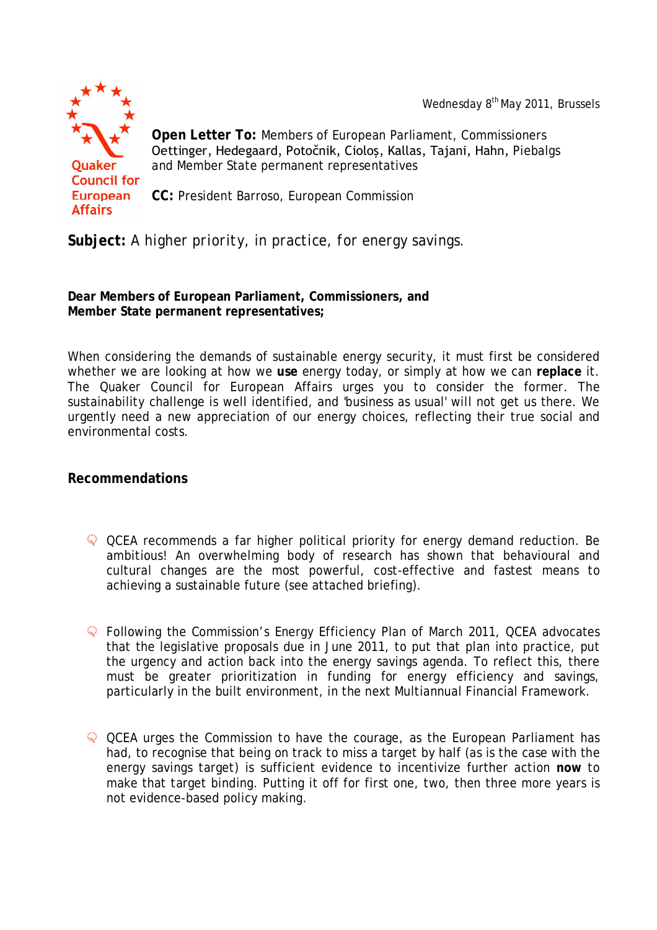Wednesday 8<sup>th</sup> May 2011, Brussels



**Open Letter To:** Members of European Parliament, Commissioners Oettinger, Hedegaard, Potočnik, Cioloş, Kallas, Tajani, Hahn, Piebalgs and Member State permanent representatives

**CC:** President Barroso, European Commission

**Subject:** *A higher priority, in practice, for energy savings.*

## **Dear Members of European Parliament, Commissioners, and Member State permanent representatives;**

When considering the demands of sustainable energy security, it must first be considered whether we are looking at how we **use** energy today, or simply at how we can **replace** it. The Quaker Council for European Affairs urges you to consider the former. The sustainability challenge is well identified, and 'business as usual' will not get us there. We urgently need a new appreciation of our energy choices, reflecting their true social and environmental costs.

# **Recommendations**

- $\Diamond$  QCEA recommends a far higher political priority for energy demand reduction. Be ambitious! An overwhelming body of research has shown that behavioural and cultural changes are the most powerful, cost-effective and fastest means to achieving a sustainable future (see attached briefing).
- $\heartsuit$  Following the Commission's Energy Efficiency Plan of March 2011, QCEA advocates that the legislative proposals due in June 2011, to put that plan into practice, put the urgency and action back into the energy savings agenda. To reflect this, there must be greater prioritization in funding for energy efficiency and savings, particularly in the built environment, in the next Multiannual Financial Framework.
- $\Diamond$  QCEA urges the Commission to have the courage, as the European Parliament has had, to recognise that being on track to miss a target by half (as is the case with the energy savings target) is sufficient evidence to incentivize further action **now** to make that target binding. Putting it off for first one, two, then three more years is not evidence-based policy making.